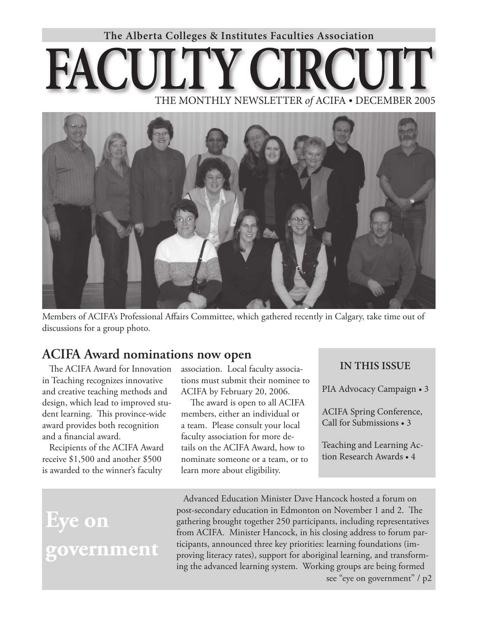# **The Alberta Colleges & Institutes Faculties Association**

# THE MONTHLY NEWSLETTER *of* ACIFA • DECEMBER 2005



Members of ACIFA's Professional Affairs Committee, which gathered recently in Calgary, take time out of discussions for a group photo.

# **ACIFA Award nominations now open**

The ACIFA Award for Innovation in Teaching recognizes innovative and creative teaching methods and design, which lead to improved student learning. This province-wide award provides both recognition and a financial award.

Recipients of the ACIFA Award receive \$1,500 and another \$500 is awarded to the winner's faculty

association. Local faculty associations must submit their nominee to ACIFA by February 20, 2006.

 The award is open to all ACIFA members, either an individual or a team. Please consult your local faculty association for more details on the ACIFA Award, how to nominate someone or a team, or to learn more about eligibility.

# **IN THIS ISSUE**

PIA Advocacy Campaign • 3

ACIFA Spring Conference, Call for Submissions • 3

Teaching and Learning Action Research Awards • 4

# **Eye on government**

Advanced Education Minister Dave Hancock hosted a forum on post-secondary education in Edmonton on November 1 and 2. The gathering brought together 250 participants, including representatives from ACIFA. Minister Hancock, in his closing address to forum participants, announced three key priorities: learning foundations (improving literacy rates), support for aboriginal learning, and transforming the advanced learning system. Working groups are being formed see "eye on government" / p2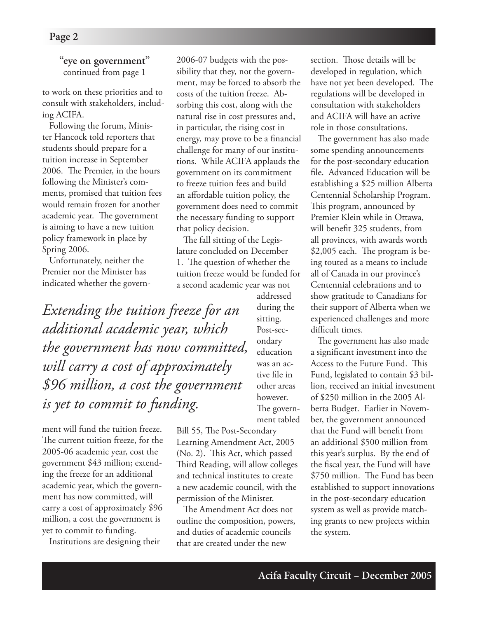### **"eye on government"** continued from page 1

to work on these priorities and to consult with stakeholders, including ACIFA.

Following the forum, Minister Hancock told reporters that students should prepare for a tuition increase in September 2006. The Premier, in the hours following the Minister's comments, promised that tuition fees would remain frozen for another academic year. The government is aiming to have a new tuition policy framework in place by Spring 2006.

Unfortunately, neither the Premier nor the Minister has indicated whether the govern-

*Extending the tuition freeze for an additional academic year, which the government has now committed, will carry a cost of approximately \$96 million, a cost the government is yet to commit to funding.*

ment will fund the tuition freeze. The current tuition freeze, for the 2005-06 academic year, cost the government \$43 million; extending the freeze for an additional academic year, which the government has now committed, will carry a cost of approximately \$96 million, a cost the government is yet to commit to funding.

Institutions are designing their

2006-07 budgets with the possibility that they, not the government, may be forced to absorb the costs of the tuition freeze. Absorbing this cost, along with the natural rise in cost pressures and, in particular, the rising cost in energy, may prove to be a financial challenge for many of our institutions. While ACIFA applauds the government on its commitment to freeze tuition fees and build an affordable tuition policy, the government does need to commit the necessary funding to support that policy decision.

The fall sitting of the Legislature concluded on December 1. The question of whether the tuition freeze would be funded for a second academic year was not

> addressed during the sitting. Post-secondary education was an active file in other areas however.

The government tabled

Bill 55, The Post-Secondary Learning Amendment Act, 2005 (No. 2). This Act, which passed Third Reading, will allow colleges and technical institutes to create a new academic council, with the permission of the Minister.

The Amendment Act does not outline the composition, powers, and duties of academic councils that are created under the new

section. Those details will be developed in regulation, which have not yet been developed. The regulations will be developed in consultation with stakeholders and ACIFA will have an active role in those consultations.

The government has also made some spending announcements for the post-secondary education file. Advanced Education will be establishing a \$25 million Alberta Centennial Scholarship Program. This program, announced by Premier Klein while in Ottawa, will benefit 325 students, from all provinces, with awards worth \$2,005 each. The program is being touted as a means to include all of Canada in our province's Centennial celebrations and to show gratitude to Canadians for their support of Alberta when we experienced challenges and more difficult times.

The government has also made a significant investment into the Access to the Future Fund. This Fund, legislated to contain \$3 billion, received an initial investment of \$250 million in the 2005 Alberta Budget. Earlier in November, the government announced that the Fund will benefit from an additional \$500 million from this year's surplus. By the end of the fiscal year, the Fund will have \$750 million. The Fund has been established to support innovations in the post-secondary education system as well as provide matching grants to new projects within the system.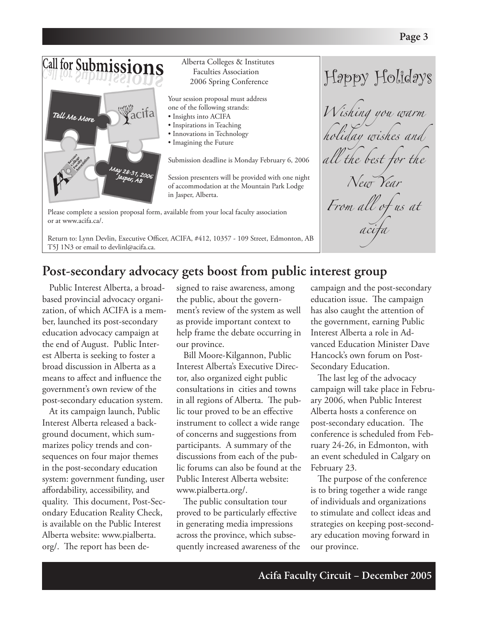#### Call for Submissions Alberta Colleges & Institutes Faculties Association Happy Holidays 2006 Spring Conference Your session proposal must address one of the following strands: Wacifa *Wishing you warm*  Tell Me More • Insights into ACIFA • Inspirations in Teaching *holiday wishes and*  • Innovations in Technology • Imagining the Future all the best <del>f</del>or Submission deadline is Monday February 6, 2006 May 28-31, 2006<br>Jasper : 2006 Session presenters will be provided with one night *New Year* of accommodation at the Mountain Park Lodge in Jasper, Alberta. *From all of us at* Please complete a session proposal form, available from your local faculty association or at www.acifa.ca/.

Return to: Lynn Devlin, Executive Officer, ACIFA, #412, 10357 - 109 Street, Edmonton, AB T5J 1N3 or email to devlinl@acifa.ca.

# **Post-secondary advocacy gets boost from public interest group**

Public Interest Alberta, a broadbased provincial advocacy organization, of which ACIFA is a member, launched its post-secondary education advocacy campaign at the end of August. Public Interest Alberta is seeking to foster a broad discussion in Alberta as a means to affect and influence the government's own review of the post-secondary education system.

At its campaign launch, Public Interest Alberta released a background document, which summarizes policy trends and consequences on four major themes in the post-secondary education system: government funding, user affordability, accessibility, and quality. This document, Post-Secondary Education Reality Check, is available on the Public Interest Alberta website: www.pialberta. org/. The report has been de-

signed to raise awareness, among the public, about the government's review of the system as well as provide important context to help frame the debate occurring in our province.

Bill Moore-Kilgannon, Public Interest Alberta's Executive Director, also organized eight public consultations in cities and towns in all regions of Alberta. The public tour proved to be an effective instrument to collect a wide range of concerns and suggestions from participants. A summary of the discussions from each of the public forums can also be found at the Public Interest Alberta website: www.pialberta.org/.

The public consultation tour proved to be particularly effective in generating media impressions across the province, which subsequently increased awareness of the campaign and the post-secondary education issue. The campaign has also caught the attention of the government, earning Public Interest Alberta a role in Advanced Education Minister Dave Hancock's own forum on Post-Secondary Education.

*acifa*

The last leg of the advocacy campaign will take place in February 2006, when Public Interest Alberta hosts a conference on post-secondary education. The conference is scheduled from February 24-26, in Edmonton, with an event scheduled in Calgary on February 23.

The purpose of the conference is to bring together a wide range of individuals and organizations to stimulate and collect ideas and strategies on keeping post-secondary education moving forward in our province.